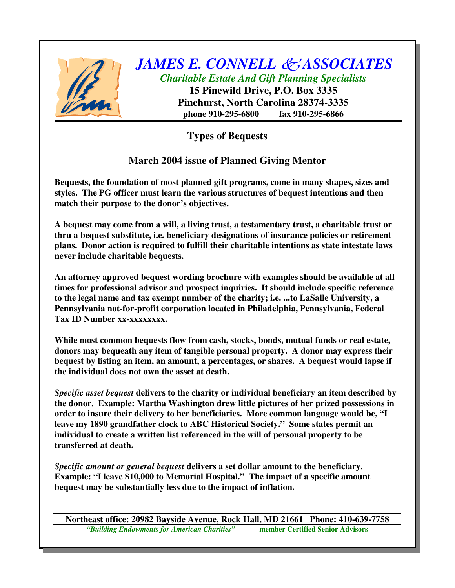

## *JAMES E. CONNELL ASSOCIATES Charitable Estate And Gift Planning Specialists* **15 Pinewild Drive, P.O. Box 3335 Pinehurst, North Carolina 28374-3335 phone 910-295-6800 fax 910-295-6866**

**Types of Bequests**

## **March 2004 issue of Planned Giving Mentor**

**Bequests, the foundation of most planned gift programs, come in many shapes, sizes and styles. The PG officer must learn the various structures of bequest intentions and then match their purpose to the donor's objectives.**

**A bequest may come from a will, a living trust, a testamentary trust, a charitable trust or thru a bequest substitute, i.e. beneficiary designations of insurance policies or retirement plans. Donor action is required to fulfill their charitable intentions as state intestate laws never include charitable bequests.**

**An attorney approved bequest wording brochure with examples should be available at all times for professional advisor and prospect inquiries. It should include specific reference to the legal name and tax exempt number of the charity; i.e. ...to LaSalle University, a Pennsylvania not-for-profit corporation located in Philadelphia, Pennsylvania, Federal Tax ID Number xx-xxxxxxxx.**

**While most common bequests flow from cash, stocks, bonds, mutual funds or real estate, donors may bequeath any item of tangible personal property. A donor may express their bequest by listing an item, an amount, a percentages, or shares. A bequest would lapse if the individual does not own the asset at death.**

*Specific asset bequest* **delivers to the charity or individual beneficiary an item described by the donor. Example: Martha Washington drew little pictures of her prized possessions in order to insure their delivery to her beneficiaries. More common language would be, "I leave my 1890 grandfather clock to ABC Historical Society." Some states permit an individual to create a written list referenced in the will of personal property to be transferred at death.**

*Specific amount or general bequest* **delivers a set dollar amount to the beneficiary. Example: "I leave \$10,000 to Memorial Hospital." The impact of a specific amount bequest may be substantially less due to the impact of inflation.**

**Northeast office: 20982 Bayside Avenue, Rock Hall, MD 21661 Phone: 410-639-7758** *"Building Endowments for American Charities"* **member Certified Senior Advisors**